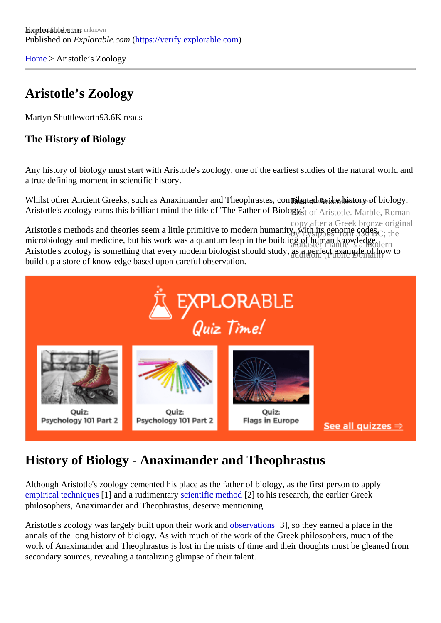[Home](https://verify.explorable.com/)> Aristotle's Zoology

## Aristotle's Zoology

Martyn Shuttlewort<sup>83.6K</sup> reads

The History of Biology

Any history of biology must start with Aristotle's zoology, one of the earliest studies of the natural world and a true defining moment in scientific history.

Whilst other Ancient Greeks, such as Anaximander and Theophrast**es, contributed t**o the history of biology Aristotle's zoology earns this brilliant mind the title of 'The Father of Biology Aristotle. Marble, Roman

copy after a Greek bronze original Aristotle's methods and theories seem a little primitive to modern humanity, with its genome codes, microbiology and medicine, but his work was a quantum leap in the building of human knowledge. Aristotle's zoology is something that every modern biologist should study, as a perfect example of how to build up a store of knowledge based upon careful observation.

#### History of Biology - Anaximander and Theophrastus

Although Aristotle's zoology cemented his place as the father of biology, as the first person to apply [empirical technique](https://verify.explorable.com/empirical-research)s] and a rudimentary cientific method<sup>2</sup> to his research, the earlier Greek philosophers, Anaximander and Theophrastus, deserve mentioning.

Aristotle's zoology was largely built upon their work anostroation\$3], so they earned a place in the annals of the long history of biology. As with much of the work of the Greek philosophers, much of the work of Anaximander and Theophrastus is lost in the mists of time and their thoughts must be gleaned from secondary sources, revealing a tantalizing glimpse of their talent.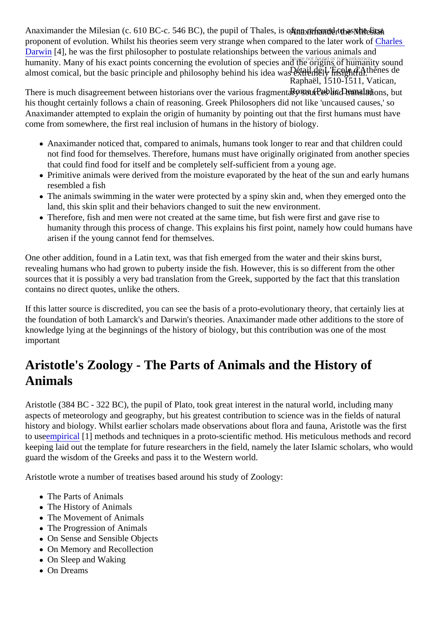Anaximander the Milesian (c. 610 BC-c. 546 BC), the pupil of Thale**s, is of the neterned to escale** first humanity. Many of his exact points concerning the evolution of species and the origins of humanity sound almost comical, but the basic principle and philosophy behind his idea tails at Endity insignings de Raphaël, 1510-1511, Vatican, proponent of evolution. Whilst his theories seem very strange when compared to the later [Charles](https://verify.explorable.com/darwins-finches) [Darwin](https://verify.explorable.com/darwins-finches)[4], he was the first philosopher to postulate relationships between the various animals and

There is much disagreement between historians over the various fragmentarybliou consain) translations, but his thought certainly follows a chain of reasoning. Greek Philosophers did not like 'uncaused causes,' so Anaximander attempted to explain the origin of humanity by pointing out that the first humans must have come from somewhere, the first real inclusion of humans in the history of biology.

- Anaximander noticed that, compared to animals, humans took longer to rear and that children could not find food for themselves. Therefore, humans must have originally originated from another specie that could find food for itself and be completely self-sufficient from a young age.
- Primitive animals were derived from the moisture evaporated by the heat of the sun and early humar resembled a fish
- The animals swimming in the water were protected by a spiny skin and, when they emerged onto the land, this skin split and their behaviors changed to suit the new environment.
- Therefore, fish and men were not created at the same time, but fish were first and gave rise to humanity through this process of change. This explains his first point, namely how could humans have arisen if the young cannot fend for themselves.

One other addition, found in a Latin text, was that fish emerged from the water and their skins burst, revealing humans who had grown to puberty inside the fish. However, this is so different from the other sources that it is possibly a very bad translation from the Greek, supported by the fact that this translation contains no direct quotes, unlike the others.

If this latter source is discredited, you can see the basis of a proto-evolutionary theory, that certainly lies at the foundation of both Lamarck's and Darwin's theories. Anaximander made other additions to the store of knowledge lying at the beginnings of the history of biology, but this contribution was one of the most important

### Aristotle's Zoology - The Parts of Animals and the History of Animals

Aristotle (384 BC - 322 BC), the pupil of Plato, took great interest in the natural world, including many aspects of meteorology and geography, but his greatest contribution to science was in the fields of natural history and biology. Whilst earlier scholars made observations about flora and fauna, Aristotle was the first to usempirical<sup>[1]</sup> methods and techniques in a proto-scientific method. His meticulous methods and record keeping laid out the template for future researchers in the field, namely the later Islamic scholars, who wou guard the wisdom of the Greeks and pass it to the Western world.

Aristotle wrote a number of treatises based around his study of Zoology:

- The Parts of Animals
- The History of Animals
- The Movement of Animals
- The Progression of Animals
- On Sense and Sensible Objects
- On Memory and Recollection
- On Sleep and Waking
- On Dreams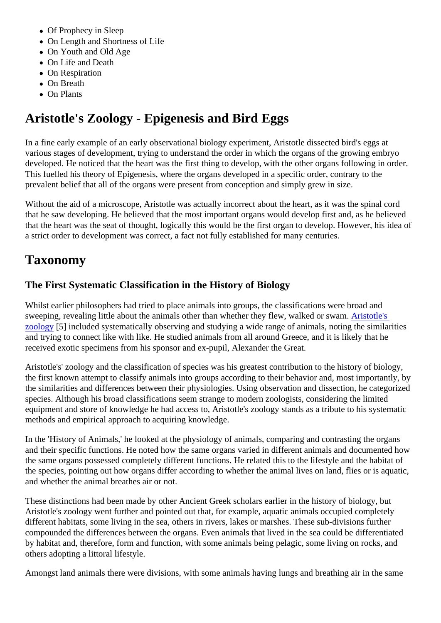- Of Prophecy in Sleep
- On Length and Shortness of Life
- On Youth and Old Age
- On Life and Death
- On Respiration
- On Breath
- On Plants

# Aristotle's Zoology - Epigenesis and Bird Eggs

In a fine early example of an early observational biology experiment, Aristotle dissected bird's eggs at various stages of development, trying to understand the order in which the organs of the growing embryo developed. He noticed that the heart was the first thing to develop, with the other organs following in order This fuelled his theory of Epigenesis, where the organs developed in a specific order, contrary to the prevalent belief that all of the organs were present from conception and simply grew in size.

Without the aid of a microscope, Aristotle was actually incorrect about the heart, as it was the spinal cord that he saw developing. He believed that the most important organs would develop first and, as he believe that the heart was the seat of thought, logically this would be the first organ to develop. However, his idea a strict order to development was correct, a fact not fully established for many centuries.

## Taxonomy

#### The First Systematic Classification in the History of Biology

Whilst earlier philosophers had tried to place animals into groups, the classifications were broad and sweeping, revealing little about the animals other than whether they flew, walked or swamle's [zoology](http://plato.stanford.edu/entries/aristotle-biology/)[5] included systematically observing and studying a wide range of animals, noting the similarities and trying to connect like with like. He studied animals from all around Greece, and it is likely that he received exotic specimens from his sponsor and ex-pupil, Alexander the Great.

Aristotle's' zoology and the classification of species was his greatest contribution to the history of biology, the first known attempt to classify animals into groups according to their behavior and, most importantly, b the similarities and differences between their physiologies. Using observation and dissection, he categorized species. Although his broad classifications seem strange to modern zoologists, considering the limited equipment and store of knowledge he had access to, Aristotle's zoology stands as a tribute to his systematic methods and empirical approach to acquiring knowledge.

In the 'History of Animals,' he looked at the physiology of animals, comparing and contrasting the organs and their specific functions. He noted how the same organs varied in different animals and documented how the same organs possessed completely different functions. He related this to the lifestyle and the habitat of the species, pointing out how organs differ according to whether the animal lives on land, flies or is aquation and whether the animal breathes air or not.

These distinctions had been made by other Ancient Greek scholars earlier in the history of biology, but Aristotle's zoology went further and pointed out that, for example, aquatic animals occupied completely different habitats, some living in the sea, others in rivers, lakes or marshes. These sub-divisions further compounded the differences between the organs. Even animals that lived in the sea could be differentiate by habitat and, therefore, form and function, with some animals being pelagic, some living on rocks, and others adopting a littoral lifestyle.

Amongst land animals there were divisions, with some animals having lungs and breathing air in the same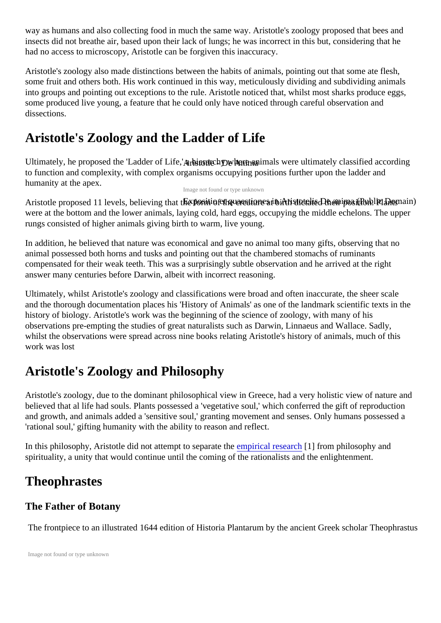way as humans and also collecting food in much the same way. Aristotle's zoology proposed that bees an insects did not breathe air, based upon their lack of lungs; he was incorrect in this but, considering that he had no access to microscopy, Aristotle can be forgiven this inaccuracy.

Aristotle's zoology also made distinctions between the habits of animals, pointing out that some ate flesh, some fruit and others both. His work continued in this way, meticulously dividing and subdividing animals into groups and pointing out exceptions to the rule. Aristotle noticed that, whilst most sharks produce eggs some produced live young, a feature that he could only have noticed through careful observation and dissections.

### Aristotle's Zoology and the Ladder of Life

Ultimately, he proposed the 'Ladder of Life stothe and where animals were ultimately classified according to function and complexity, with complex organisms occupying positions further upon the ladder and humanity at the apex.

Image not found or type unknown

Aristotle proposed 11 levels, believing th**ax positionet quaestieaes in Arisitotelist De artine a pBublion. Peraais**) were at the bottom and the lower animals, laying cold, hard eggs, occupying the middle echelons. The upper rungs consisted of higher animals giving birth to warm, live young.

In addition, he believed that nature was economical and gave no animal too many gifts, observing that no animal possessed both horns and tusks and pointing out that the chambered stomachs of ruminants compensated for their weak teeth. This was a surprisingly subtle observation and he arrived at the right answer many centuries before Darwin, albeit with incorrect reasoning.

Ultimately, whilst Aristotle's zoology and classifications were broad and often inaccurate, the sheer scale and the thorough documentation places his 'History of Animals' as one of the landmark scientific texts in the history of biology. Aristotle's work was the beginning of the science of zoology, with many of his observations pre-empting the studies of great naturalists such as Darwin, Linnaeus and Wallace. Sadly, whilst the observations were spread across nine books relating Aristotle's history of animals, much of this work was lost

# Aristotle's Zoology and Philosophy

Aristotle's zoology, due to the dominant philosophical view in Greece, had a very holistic view of nature an believed that al life had souls. Plants possessed a 'vegetative soul,' which conferred the gift of reproductio and growth, and animals added a 'sensitive soul,' granting movement and senses. Only humans possesse 'rational soul,' gifting humanity with the ability to reason and reflect.

In this philosophy, Aristotle did not attempt to separate the irical research form philosophy and spirituality, a unity that would continue until the coming of the rationalists and the enlightenment.

### **Theophrastes**

#### The Father of Botany

The frontpiece to an illustrated 1644 edition of Historia Plantarum by the ancient Greek scholar Theophra